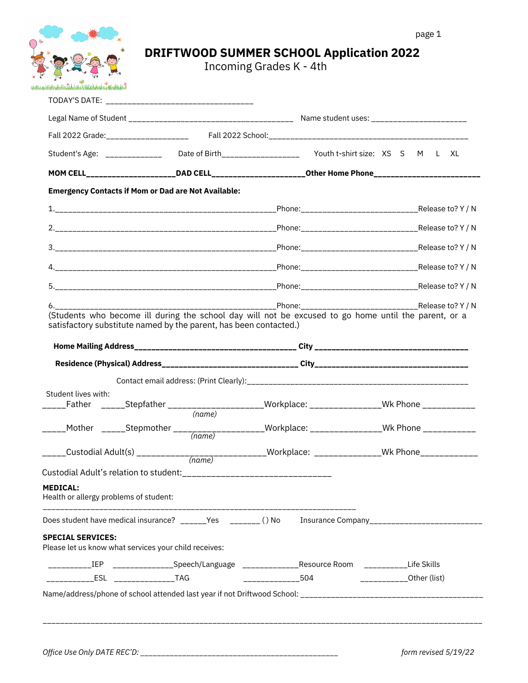# **DRIFTWOOD SUMMER SCHOOL Application 2022**

Incoming Grades K - 4th

|                                                           |                                                                                       | Student's Age: _____________ Date of Birth___________________ Youth t-shirt size: XS S M L XL        |                           |  |
|-----------------------------------------------------------|---------------------------------------------------------------------------------------|------------------------------------------------------------------------------------------------------|---------------------------|--|
|                                                           |                                                                                       | MOM CELL_____________________DAD CELL________________________Other Home Phone_______________________ |                           |  |
|                                                           | <b>Emergency Contacts if Mom or Dad are Not Available:</b>                            |                                                                                                      |                           |  |
|                                                           |                                                                                       |                                                                                                      |                           |  |
|                                                           |                                                                                       |                                                                                                      |                           |  |
|                                                           |                                                                                       |                                                                                                      |                           |  |
|                                                           |                                                                                       |                                                                                                      |                           |  |
|                                                           |                                                                                       |                                                                                                      |                           |  |
|                                                           | satisfactory substitute named by the parent, has been contacted.)                     |                                                                                                      |                           |  |
|                                                           |                                                                                       |                                                                                                      |                           |  |
|                                                           |                                                                                       |                                                                                                      |                           |  |
|                                                           |                                                                                       |                                                                                                      |                           |  |
| Student lives with:                                       |                                                                                       | _____Father ______Stepfather _____________________Workplace: ________________Wk Phone ____________   |                           |  |
|                                                           | (name)                                                                                |                                                                                                      |                           |  |
|                                                           |                                                                                       | _____Mother _____Stepmother ____________________Workplace: _______________Wk Phone ___________       |                           |  |
|                                                           |                                                                                       | _____Custodial Adult(s) _____________________________Workplace: _______________Wk Phone____________  |                           |  |
|                                                           |                                                                                       |                                                                                                      |                           |  |
| <b>MEDICAL:</b><br>Health or allergy problems of student: |                                                                                       |                                                                                                      |                           |  |
|                                                           |                                                                                       | Does student have medical insurance? ______Yes _______()No Insurance Company________________________ |                           |  |
|                                                           | Please let us know what services your child receives:                                 |                                                                                                      |                           |  |
| <b>SPECIAL SERVICES:</b>                                  |                                                                                       |                                                                                                      |                           |  |
| _________IEP                                              | ________________Speech/Language ________________Resource Room ____________Life Skills |                                                                                                      |                           |  |
|                                                           |                                                                                       | ______________504                                                                                    | _____________Other (list) |  |
|                                                           |                                                                                       |                                                                                                      |                           |  |
|                                                           |                                                                                       |                                                                                                      |                           |  |

*Office Use Only DATE REC'D: \_\_\_\_\_\_\_\_\_\_\_\_\_\_\_\_\_\_\_\_\_\_\_\_\_\_\_\_\_\_\_\_\_\_\_\_\_\_\_\_\_\_\_\_\_\_\_ form revised 5/19/22*